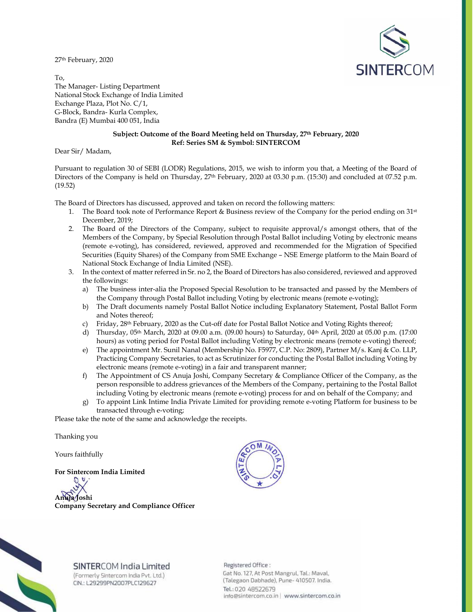27th February, 2020



To, The Manager- Listing Department National Stock Exchange of India Limited Exchange Plaza, Plot No. C/1, G-Block, Bandra- Kurla Complex, Bandra (E) Mumbai 400 051, India

# **Subject: Outcome of the Board Meeting held on Thursday, 27th February, 2020 Ref: Series SM & Symbol: SINTERCOM**

Dear Sir/ Madam,

Pursuant to regulation 30 of SEBI (LODR) Regulations, 2015, we wish to inform you that, a Meeting of the Board of Directors of the Company is held on Thursday, 27<sup>th</sup> February, 2020 at 03.30 p.m. (15:30) and concluded at 07.52 p.m. (19.52)

The Board of Directors has discussed, approved and taken on record the following matters:

- 1. The Board took note of Performance Report & Business review of the Company for the period ending on 31st December, 2019;
- 2. The Board of the Directors of the Company, subject to requisite approval/s amongst others, that of the Members of the Company, by Special Resolution through Postal Ballot including Voting by electronic means (remote e-voting), has considered, reviewed, approved and recommended for the Migration of Specified Securities (Equity Shares) of the Company from SME Exchange – NSE Emerge platform to the Main Board of National Stock Exchange of India Limited (NSE).
- 3. In the context of matter referred in Sr. no 2, the Board of Directors has also considered, reviewed and approved the followings:
	- a) The business inter-alia the Proposed Special Resolution to be transacted and passed by the Members of the Company through Postal Ballot including Voting by electronic means (remote e-voting);
	- b) The Draft documents namely Postal Ballot Notice including Explanatory Statement, Postal Ballot Form and Notes thereof;
	- c) Friday, 28th February, 2020 as the Cut-off date for Postal Ballot Notice and Voting Rights thereof;
	- d) Thursday, 05th March, 2020 at 09.00 a.m. (09.00 hours) to Saturday, 04th April, 2020 at 05.00 p.m. (17:00 hours) as voting period for Postal Ballot including Voting by electronic means (remote e-voting) thereof;
	- e) The appointment Mr. Sunil Nanal (Membership No. F5977, C.P. No: 2809), Partner M/s. Kanj & Co. LLP, Practicing Company Secretaries, to act as Scrutinizer for conducting the Postal Ballot including Voting by electronic means (remote e-voting) in a fair and transparent manner;
	- f) The Appointment of CS Anuja Joshi, Company Secretary & Compliance Officer of the Company, as the person responsible to address grievances of the Members of the Company, pertaining to the Postal Ballot including Voting by electronic means (remote e-voting) process for and on behalf of the Company; and
	- g) To appoint Link Intime India Private Limited for providing remote e-voting Platform for business to be transacted through e-voting;

Please take the note of the same and acknowledge the receipts.

Thanking you

Yours faithfully

**For Sintercom India Limited** 

D **Anuja Joshi Company Secretary and Compliance Officer** 





# SINTERCOM India Limited

(Formerly Sintercom India Pvt. Ltd.) CIN.: L29299PN2007PLC129627

Registered Office: Gat No. 127, At Post Mangrul, Tal.: Maval, (Talegaon Dabhade), Pune- 410507. India. Tel.: 020 48522679 info@sintercom.co.in | www.sintercom.co.in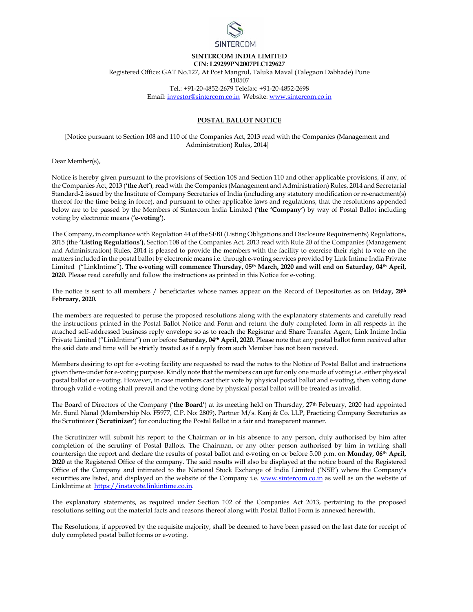

# **SINTERCOM INDIA LIMITED**

**CIN: L29299PN2007PLC129627** 

Registered Office: GAT No.127, At Post Mangrul, Taluka Maval (Talegaon Dabhade) Pune

410507

Tel.: +91-20-4852-2679 Telefax: +91-20-4852-2698

Email: investor@sintercom.co.in Website: www.sintercom.co.in

# **POSTAL BALLOT NOTICE**

[Notice pursuant to Section 108 and 110 of the Companies Act, 2013 read with the Companies (Management and Administration) Rules, 2014]

Dear Member(s),

Notice is hereby given pursuant to the provisions of Section 108 and Section 110 and other applicable provisions, if any, of the Companies Act, 2013 (**'the Act'**), read with the Companies (Management and Administration) Rules, 2014 and Secretarial Standard-2 issued by the Institute of Company Secretaries of India (including any statutory modification or re-enactment(s) thereof for the time being in force), and pursuant to other applicable laws and regulations, that the resolutions appended below are to be passed by the Members of Sintercom India Limited (**'the 'Company'**) by way of Postal Ballot including voting by electronic means (**'e-voting'**).

The Company, in compliance with Regulation 44 of the SEBI (Listing Obligations and Disclosure Requirements) Regulations, 2015 (the **'Listing Regulations')**, Section 108 of the Companies Act, 2013 read with Rule 20 of the Companies (Management and Administration) Rules, 2014 is pleased to provide the members with the facility to exercise their right to vote on the matters included in the postal ballot by electronic means i.e. through e-voting services provided by Link Intime India Private Limited ("LinkIntime"). **The e-voting will commence Thursday, 05th March, 2020 and will end on Saturday, 04th April, 2020.** Please read carefully and follow the instructions as printed in this Notice for e-voting.

The notice is sent to all members / beneficiaries whose names appear on the Record of Depositories as on **Friday, 28th February, 2020.**

The members are requested to peruse the proposed resolutions along with the explanatory statements and carefully read the instructions printed in the Postal Ballot Notice and Form and return the duly completed form in all respects in the attached self-addressed business reply envelope so as to reach the Registrar and Share Transfer Agent, Link Intime India Private Limited ("LinkIntime") on or before **Saturday, 04th April, 2020.** Please note that any postal ballot form received after the said date and time will be strictly treated as if a reply from such Member has not been received.

Members desiring to opt for e-voting facility are requested to read the notes to the Notice of Postal Ballot and instructions given there-under for e-voting purpose. Kindly note that the members can opt for only one mode of voting i.e. either physical postal ballot or e-voting. However, in case members cast their vote by physical postal ballot and e-voting, then voting done through valid e-voting shall prevail and the voting done by physical postal ballot will be treated as invalid.

The Board of Directors of the Company (**'the Board'**) at its meeting held on Thursday, 27th February, 2020 had appointed Mr. Sunil Nanal (Membership No. F5977, C.P. No: 2809), Partner M/s. Kanj & Co. LLP, Practicing Company Secretaries as the Scrutinizer (**'Scrutinizer'**) for conducting the Postal Ballot in a fair and transparent manner.

The Scrutinizer will submit his report to the Chairman or in his absence to any person, duly authorised by him after completion of the scrutiny of Postal Ballots. The Chairman, or any other person authorised by him in writing shall countersign the report and declare the results of postal ballot and e-voting on or before 5.00 p.m. on **Monday, 06th April, 2020** at the Registered Office of the company. The said results will also be displayed at the notice board of the Registered Office of the Company and intimated to the National Stock Exchange of India Limited ('NSE') where the Company's securities are listed, and displayed on the website of the Company i.e. www.sintercom.co.in as well as on the website of LinkIntime at https://instavote.linkintime.co.in.

The explanatory statements, as required under Section 102 of the Companies Act 2013, pertaining to the proposed resolutions setting out the material facts and reasons thereof along with Postal Ballot Form is annexed herewith.

The Resolutions, if approved by the requisite majority, shall be deemed to have been passed on the last date for receipt of duly completed postal ballot forms or e-voting.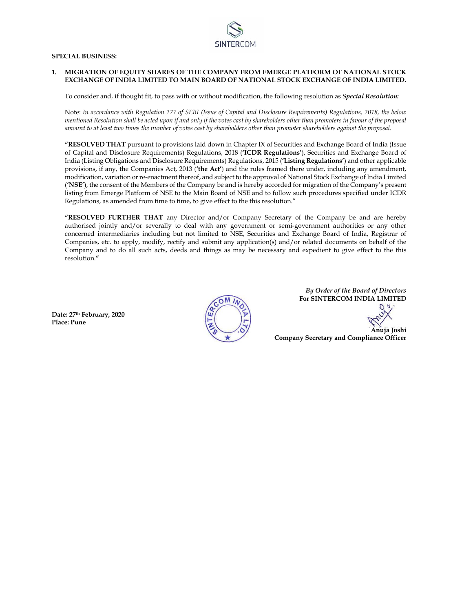

### **SPECIAL BUSINESS:**

#### **1. MIGRATION OF EQUITY SHARES OF THE COMPANY FROM EMERGE PLATFORM OF NATIONAL STOCK EXCHANGE OF INDIA LIMITED TO MAIN BOARD OF NATIONAL STOCK EXCHANGE OF INDIA LIMITED.**

To consider and, if thought fit, to pass with or without modification, the following resolution as *Special Resolution:*

Note: *In accordance with Regulation 277 of SEBI (Issue of Capital and Disclosure Requirements) Regulations, 2018, the below mentioned Resolution shall be acted upon if and only if the votes cast by shareholders other than promoters in favour of the proposal amount to at least two times the number of votes cast by shareholders other than promoter shareholders against the proposal.*

**"RESOLVED THAT** pursuant to provisions laid down in Chapter IX of Securities and Exchange Board of India (Issue of Capital and Disclosure Requirements) Regulations, 2018 (**'ICDR Regulations'**), Securities and Exchange Board of India (Listing Obligations and Disclosure Requirements) Regulations, 2015 (**'Listing Regulations'**) and other applicable provisions, if any, the Companies Act, 2013 (**'the Act'**) and the rules framed there under, including any amendment, modification, variation or re-enactment thereof, and subject to the approval of National Stock Exchange of India Limited (**'NSE'**), the consent of the Members of the Company be and is hereby accorded for migration of the Company's present listing from Emerge Platform of NSE to the Main Board of NSE and to follow such procedures specified under ICDR Regulations, as amended from time to time, to give effect to the this resolution."

**"RESOLVED FURTHER THAT** any Director and/or Company Secretary of the Company be and are hereby authorised jointly and/or severally to deal with any government or semi-government authorities or any other concerned intermediaries including but not limited to NSE, Securities and Exchange Board of India, Registrar of Companies, etc. to apply, modify, rectify and submit any application(s) and/or related documents on behalf of the Company and to do all such acts, deeds and things as may be necessary and expedient to give effect to the this resolution.**"** 

**Date: 27th February, 2020 Place: Pune** 



*By Order of the Board of Directors*  **For SINTERCOM INDIA LIMITED** 

**Anuja Joshi Company Secretary and Compliance Officer**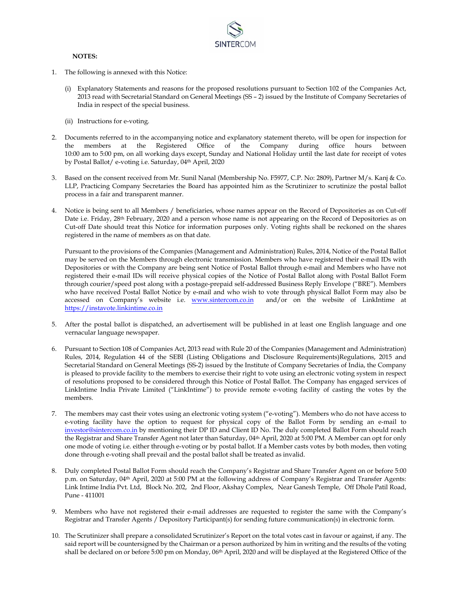

#### **NOTES:**

- 1. The following is annexed with this Notice:
	- (i) Explanatory Statements and reasons for the proposed resolutions pursuant to Section 102 of the Companies Act, 2013 read with Secretarial Standard on General Meetings (SS – 2) issued by the Institute of Company Secretaries of India in respect of the special business.
	- (ii) Instructions for e-voting.
- 2. Documents referred to in the accompanying notice and explanatory statement thereto, will be open for inspection for the members at the Registered Office of the Company during office hours between 10:00 am to 5:00 pm, on all working days except, Sunday and National Holiday until the last date for receipt of votes by Postal Ballot/ e-voting i.e. Saturday, 04th April, 2020
- 3. Based on the consent received from Mr. Sunil Nanal (Membership No. F5977, C.P. No: 2809), Partner M/s. Kanj & Co. LLP, Practicing Company Secretaries the Board has appointed him as the Scrutinizer to scrutinize the postal ballot process in a fair and transparent manner.
- 4. Notice is being sent to all Members / beneficiaries, whose names appear on the Record of Depositories as on Cut-off Date i.e. Friday, 28th February, 2020 and a person whose name is not appearing on the Record of Depositories as on Cut-off Date should treat this Notice for information purposes only. Voting rights shall be reckoned on the shares registered in the name of members as on that date.

Pursuant to the provisions of the Companies (Management and Administration) Rules, 2014, Notice of the Postal Ballot may be served on the Members through electronic transmission. Members who have registered their e-mail IDs with Depositories or with the Company are being sent Notice of Postal Ballot through e-mail and Members who have not registered their e-mail IDs will receive physical copies of the Notice of Postal Ballot along with Postal Ballot Form through courier/speed post along with a postage-prepaid self-addressed Business Reply Envelope ("BRE"). Members who have received Postal Ballot Notice by e-mail and who wish to vote through physical Ballot Form may also be accessed on Company's website i.e. www.sintercom.co.in and/or on the website of LinkIntime at https://instavote.linkintime.co.in

- 5. After the postal ballot is dispatched, an advertisement will be published in at least one English language and one vernacular language newspaper.
- 6. Pursuant to Section 108 of Companies Act, 2013 read with Rule 20 of the Companies (Management and Administration) Rules, 2014, Regulation 44 of the SEBI (Listing Obligations and Disclosure Requirements)Regulations, 2015 and Secretarial Standard on General Meetings (SS-2) issued by the Institute of Company Secretaries of India, the Company is pleased to provide facility to the members to exercise their right to vote using an electronic voting system in respect of resolutions proposed to be considered through this Notice of Postal Ballot. The Company has engaged services of LinkIntime India Private Limited ("LinkIntime") to provide remote e-voting facility of casting the votes by the members.
- 7. The members may cast their votes using an electronic voting system ("e-voting"). Members who do not have access to e-voting facility have the option to request for physical copy of the Ballot Form by sending an e-mail to investor@sintercom.co.in by mentioning their DP ID and Client ID No. The duly completed Ballot Form should reach the Registrar and Share Transfer Agent not later than Saturday, 04th April, 2020 at 5:00 PM. A Member can opt for only one mode of voting i.e. either through e-voting or by postal ballot. If a Member casts votes by both modes, then voting done through e-voting shall prevail and the postal ballot shall be treated as invalid.
- 8. Duly completed Postal Ballot Form should reach the Company's Registrar and Share Transfer Agent on or before 5:00 p.m. on Saturday, 04th April, 2020 at 5:00 PM at the following address of Company's Registrar and Transfer Agents: Link Intime India Pvt. Ltd, Block No. 202, 2nd Floor, Akshay Complex, Near Ganesh Temple, Off Dhole Patil Road, Pune - 411001
- 9. Members who have not registered their e-mail addresses are requested to register the same with the Company's Registrar and Transfer Agents / Depository Participant(s) for sending future communication(s) in electronic form.
- 10. The Scrutinizer shall prepare a consolidated Scrutinizer's Report on the total votes cast in favour or against, if any. The said report will be countersigned by the Chairman or a person authorized by him in writing and the results of the voting shall be declared on or before 5:00 pm on Monday, 06<sup>th</sup> April, 2020 and will be displayed at the Registered Office of the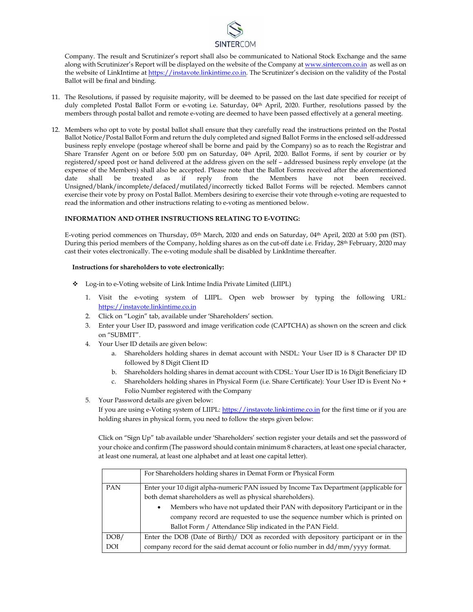

Company. The result and Scrutinizer's report shall also be communicated to National Stock Exchange and the same along with Scrutinizer's Report will be displayed on the website of the Company at www.sintercom.co.in as well as on the website of LinkIntime at https://instavote.linkintime.co.in. The Scrutinizer's decision on the validity of the Postal Ballot will be final and binding.

- 11. The Resolutions, if passed by requisite majority, will be deemed to be passed on the last date specified for receipt of duly completed Postal Ballot Form or e-voting i.e. Saturday, 04th April, 2020. Further, resolutions passed by the members through postal ballot and remote e-voting are deemed to have been passed effectively at a general meeting.
- 12. Members who opt to vote by postal ballot shall ensure that they carefully read the instructions printed on the Postal Ballot Notice/Postal Ballot Form and return the duly completed and signed Ballot Forms in the enclosed self-addressed business reply envelope (postage whereof shall be borne and paid by the Company) so as to reach the Registrar and Share Transfer Agent on or before 5:00 pm on Saturday, 04th April, 2020. Ballot Forms, if sent by courier or by registered/speed post or hand delivered at the address given on the self – addressed business reply envelope (at the expense of the Members) shall also be accepted. Please note that the Ballot Forms received after the aforementioned date shall be treated as if reply from the Members have not been received. Unsigned/blank/incomplete/defaced/mutilated/incorrectly ticked Ballot Forms will be rejected. Members cannot exercise their vote by proxy on Postal Ballot. Members desiring to exercise their vote through e-voting are requested to read the information and other instructions relating to e-voting as mentioned below.

#### **INFORMATION AND OTHER INSTRUCTIONS RELATING TO E-VOTING:**

E-voting period commences on Thursday, 05th March, 2020 and ends on Saturday, 04th April, 2020 at 5:00 pm (IST). During this period members of the Company, holding shares as on the cut-off date i.e. Friday, 28th February, 2020 may cast their votes electronically. The e-voting module shall be disabled by LinkIntime thereafter.

#### **Instructions for shareholders to vote electronically:**

- Log-in to e-Voting website of Link Intime India Private Limited (LIIPL)
	- 1. Visit the e-voting system of LIIPL. Open web browser by typing the following URL: https://instavote.linkintime.co.in
	- 2. Click on "Login" tab, available under 'Shareholders' section.
	- 3. Enter your User ID, password and image verification code (CAPTCHA) as shown on the screen and click on "SUBMIT".
	- 4. Your User ID details are given below:
		- a. Shareholders holding shares in demat account with NSDL: Your User ID is 8 Character DP ID followed by 8 Digit Client ID
		- b. Shareholders holding shares in demat account with CDSL: Your User ID is 16 Digit Beneficiary ID
		- c. Shareholders holding shares in Physical Form (i.e. Share Certificate): Your User ID is Event No + Folio Number registered with the Company
	- 5. Your Password details are given below:

If you are using e-Voting system of LIIPL: https://instavote.linkintime.co.in for the first time or if you are holding shares in physical form, you need to follow the steps given below:

Click on "Sign Up" tab available under 'Shareholders' section register your details and set the password of your choice and confirm (The password should contain minimum 8 characters, at least one special character, at least one numeral, at least one alphabet and at least one capital letter).

|            | For Shareholders holding shares in Demat Form or Physical Form                            |
|------------|-------------------------------------------------------------------------------------------|
| PAN        | Enter your 10 digit alpha-numeric PAN issued by Income Tax Department (applicable for     |
|            | both demat shareholders as well as physical shareholders).                                |
|            | Members who have not updated their PAN with depository Participant or in the<br>٠         |
|            | company record are requested to use the sequence number which is printed on               |
|            | Ballot Form / Attendance Slip indicated in the PAN Field.                                 |
| DOB/       | Enter the DOB (Date of Birth)/ DOI as recorded with depository participant or in the      |
| <b>DOI</b> | company record for the said demat account or folio number in $\frac{dd}{mm}$ yyyy format. |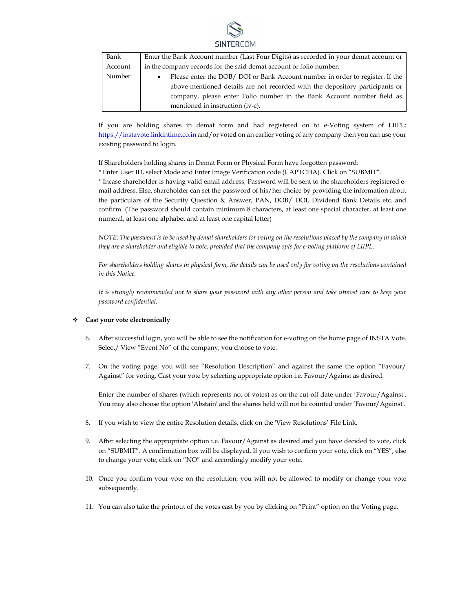

| Bank    | Enter the Bank Account number (Last Four Digits) as recorded in your demat account or      |  |
|---------|--------------------------------------------------------------------------------------------|--|
| Account | in the company records for the said demat account or folio number.                         |  |
| Number  | Please enter the DOB/ DOI or Bank Account number in order to register. If the<br>$\bullet$ |  |
|         | above-mentioned details are not recorded with the depository participants or               |  |
|         | company, please enter Folio number in the Bank Account number field as                     |  |
|         | mentioned in instruction (iv-c).                                                           |  |

If you are holding shares in demat form and had registered on to e-Voting system of LIIPL: https://instavote.linkintime.co.in and/or voted on an earlier voting of any company then you can use your existing password to login.

If Shareholders holding shares in Demat Form or Physical Form have forgotten password:

\* Enter User ID, select Mode and Enter Image Verification code (CAPTCHA). Click on "SUBMIT".

\* Incase shareholder is having valid email address, Password will be sent to the shareholders registered email address. Else, shareholder can set the password of his/her choice by providing the information about the particulars of the Security Question & Answer, PAN, DOB/ DOI, Dividend Bank Details etc. and confirm. (The password should contain minimum 8 characters, at least one special character, at least one numeral, at least one alphabet and at least one capital letter)

*NOTE: The password is to be used by demat shareholders for voting on the resolutions placed by the company in which they are a shareholder and eligible to vote, provided that the company opts for e-voting platform of LIIPL.* 

For shareholders holding shares in physical form, the details can be used only for voting on the resolutions contained *in this Notice.* 

*It is strongly recommended not to share your password with any other person and take utmost care to keep your password confidential.* 

#### **Cast your vote electronically**

- 6. After successful login, you will be able to see the notification for e-voting on the home page of INSTA Vote. Select/ View "Event No" of the company, you choose to vote.
- 7. On the voting page, you will see "Resolution Description" and against the same the option "Favour/ Against" for voting. Cast your vote by selecting appropriate option i.e. Favour/Against as desired.

Enter the number of shares (which represents no. of votes) as on the cut-off date under 'Favour/Against'. You may also choose the option 'Abstain' and the shares held will not be counted under 'Favour/Against'.

- 8. If you wish to view the entire Resolution details, click on the 'View Resolutions' File Link.
- 9. After selecting the appropriate option i.e. Favour/Against as desired and you have decided to vote, click on "SUBMIT". A confirmation box will be displayed. If you wish to confirm your vote, click on "YES", else to change your vote, click on "NO" and accordingly modify your vote.
- 10. Once you confirm your vote on the resolution, you will not be allowed to modify or change your vote subsequently.
- 11. You can also take the printout of the votes cast by you by clicking on "Print" option on the Voting page.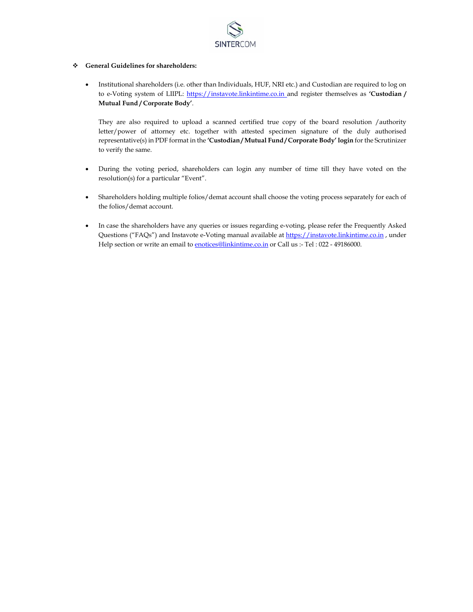

# **General Guidelines for shareholders:**

 Institutional shareholders (i.e. other than Individuals, HUF, NRI etc.) and Custodian are required to log on to e-Voting system of LIIPL: https://instavote.linkintime.co.in and register themselves as **'Custodian / Mutual Fund / Corporate Body'**.

They are also required to upload a scanned certified true copy of the board resolution /authority letter/power of attorney etc. together with attested specimen signature of the duly authorised representative(s) in PDF format in the **'Custodian / Mutual Fund / Corporate Body' login** for the Scrutinizer to verify the same.

- During the voting period, shareholders can login any number of time till they have voted on the resolution(s) for a particular "Event".
- Shareholders holding multiple folios/demat account shall choose the voting process separately for each of the folios/demat account.
- In case the shareholders have any queries or issues regarding e-voting, please refer the Frequently Asked Questions ("FAQs") and Instavote e-Voting manual available at https://instavote.linkintime.co.in , under Help section or write an email to **enotices@linkintime.co.in** or Call us :- Tel : 022 - 49186000.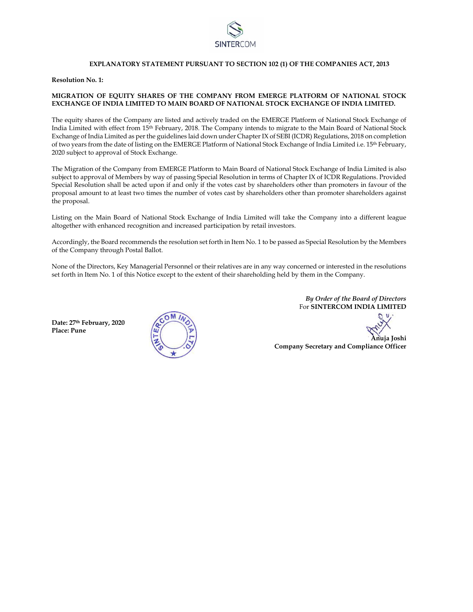

#### **EXPLANATORY STATEMENT PURSUANT TO SECTION 102 (1) OF THE COMPANIES ACT, 2013**

**Resolution No. 1:** 

# **MIGRATION OF EQUITY SHARES OF THE COMPANY FROM EMERGE PLATFORM OF NATIONAL STOCK EXCHANGE OF INDIA LIMITED TO MAIN BOARD OF NATIONAL STOCK EXCHANGE OF INDIA LIMITED.**

The equity shares of the Company are listed and actively traded on the EMERGE Platform of National Stock Exchange of India Limited with effect from 15th February, 2018. The Company intends to migrate to the Main Board of National Stock Exchange of India Limited as per the guidelines laid down under Chapter IX of SEBI (ICDR) Regulations, 2018 on completion of two years from the date of listing on the EMERGE Platform of National Stock Exchange of India Limited i.e. 15th February, 2020 subject to approval of Stock Exchange.

The Migration of the Company from EMERGE Platform to Main Board of National Stock Exchange of India Limited is also subject to approval of Members by way of passing Special Resolution in terms of Chapter IX of ICDR Regulations. Provided Special Resolution shall be acted upon if and only if the votes cast by shareholders other than promoters in favour of the proposal amount to at least two times the number of votes cast by shareholders other than promoter shareholders against the proposal.

Listing on the Main Board of National Stock Exchange of India Limited will take the Company into a different league altogether with enhanced recognition and increased participation by retail investors.

Accordingly, the Board recommends the resolution set forth in Item No. 1 to be passed as Special Resolution by the Members of the Company through Postal Ballot.

None of the Directors, Key Managerial Personnel or their relatives are in any way concerned or interested in the resolutions set forth in Item No. 1 of this Notice except to the extent of their shareholding held by them in the Company.

**Date: 27th February, 2020 Place: Pune** 



*By Order of the Board of Directors*  For **SINTERCOM INDIA LIMITED** 

 **Anuja Joshi** 

**Company Secretary and Compliance Officer**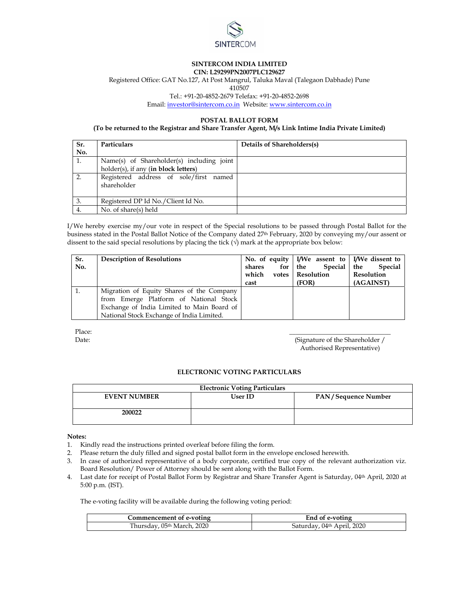

#### **SINTERCOM INDIA LIMITED CIN: L29299PN2007PLC129627**

Registered Office: GAT No.127, At Post Mangrul, Taluka Maval (Talegaon Dabhade) Pune

410507

Tel.: +91-20-4852-2679 Telefax: +91-20-4852-2698

Email: investor@sintercom.co.in Website: www.sintercom.co.in

# **POSTAL BALLOT FORM**

#### **(To be returned to the Registrar and Share Transfer Agent, M/s Link Intime India Private Limited)**

| Sr.<br>No. | Particulars                                           | Details of Shareholders(s) |
|------------|-------------------------------------------------------|----------------------------|
|            |                                                       |                            |
| 1.         | Name(s) of Shareholder(s) including joint             |                            |
|            | holder(s), if any (in block letters)                  |                            |
| 2.         | Registered address of sole/first named<br>shareholder |                            |
| 3.         | Registered DP Id No./Client Id No.                    |                            |
| 4.         | No. of share(s) held                                  |                            |

I/We hereby exercise my/our vote in respect of the Special resolutions to be passed through Postal Ballot for the business stated in the Postal Ballot Notice of the Company dated 27th February, 2020 by conveying my/our assent or dissent to the said special resolutions by placing the tick  $(\sqrt{})$  mark at the appropriate box below:

| Sr.<br>No. | <b>Description of Resolutions</b>                                                                                                                                              | for<br>shares<br>which<br>votes  <br>cast | No. of equity $\vert$ I/We assent to $\vert$ I/We dissent to<br>Special   the<br>the<br>Resolution<br>(FOR) | <b>Special</b><br>Resolution<br>(AGAINST) |
|------------|--------------------------------------------------------------------------------------------------------------------------------------------------------------------------------|-------------------------------------------|-------------------------------------------------------------------------------------------------------------|-------------------------------------------|
|            | Migration of Equity Shares of the Company<br>from Emerge Platform of National Stock<br>Exchange of India Limited to Main Board of<br>National Stock Exchange of India Limited. |                                           |                                                                                                             |                                           |

Place: **\_\_\_\_\_\_\_\_\_\_\_\_\_\_\_\_\_\_\_\_\_\_\_\_\_\_\_\_\_\_\_** 

Date: (Signature of the Shareholder / Authorised Representative)

# **ELECTRONIC VOTING PARTICULARS**

| <b>Electronic Voting Particulars</b> |                |                     |  |  |  |
|--------------------------------------|----------------|---------------------|--|--|--|
| <b>EVENT NUMBER</b>                  | <b>User ID</b> | PAN/Sequence Number |  |  |  |
| 200022                               |                |                     |  |  |  |

**Notes:** 

- 1. Kindly read the instructions printed overleaf before filing the form.
- 2. Please return the duly filled and signed postal ballot form in the envelope enclosed herewith.
- 3. In case of authorized representative of a body corporate, certified true copy of the relevant authorization viz. Board Resolution/ Power of Attorney should be sent along with the Ballot Form.
- 4. Last date for receipt of Postal Ballot Form by Registrar and Share Transfer Agent is Saturday, 04th April, 2020 at 5:00 p.m. (IST).

The e-voting facility will be available during the following voting period:

| Commencement of e-voting               | End of e-voting            |
|----------------------------------------|----------------------------|
| Thursday, 05 <sup>th</sup> March, 2020 | Saturday, 04th April, 2020 |